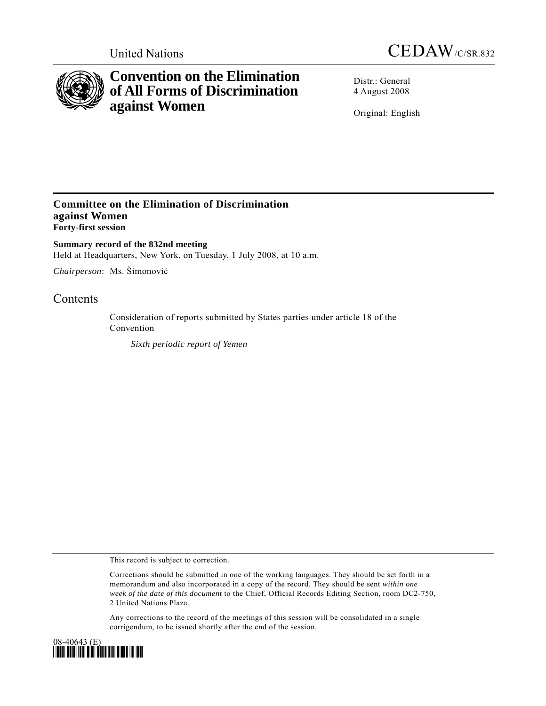



# **Convention on the Elimination of All Forms of Discrimination against Women**

Distr.: General 4 August 2008

Original: English

## **Committee on the Elimination of Discrimination against Women Forty-first session**

**Summary record of the 832nd meeting**  Held at Headquarters, New York, on Tuesday, 1 July 2008, at 10 a.m.

*Chairperson*: Ms. Šimonović

## **Contents**

Consideration of reports submitted by States parties under article 18 of the Convention

 *Sixth periodic report of Yemen*

This record is subject to correction.

Corrections should be submitted in one of the working languages. They should be set forth in a memorandum and also incorporated in a copy of the record. They should be sent *within one week of the date of this document* to the Chief, Official Records Editing Section, room DC2-750, 2 United Nations Plaza.

Any corrections to the record of the meetings of this session will be consolidated in a single corrigendum, to be issued shortly after the end of the session.

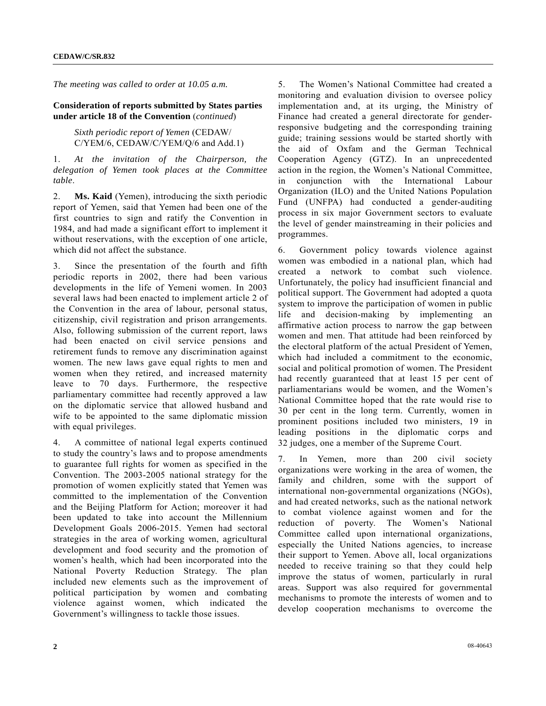*The meeting was called to order at 10.05 a.m.* 

### **Consideration of reports submitted by States parties under article 18 of the Convention** (*continued*)

 *Sixth periodic report of Yemen* (CEDAW/ C/YEM/6, CEDAW/C/YEM/Q/6 and Add.1)

1. *At the invitation of the Chairperson, the delegation of Yemen took places at the Committee table*.

2. **Ms. Kaid** (Yemen), introducing the sixth periodic report of Yemen, said that Yemen had been one of the first countries to sign and ratify the Convention in 1984, and had made a significant effort to implement it without reservations, with the exception of one article, which did not affect the substance.

3. Since the presentation of the fourth and fifth periodic reports in 2002, there had been various developments in the life of Yemeni women. In 2003 several laws had been enacted to implement article 2 of the Convention in the area of labour, personal status, citizenship, civil registration and prison arrangements. Also, following submission of the current report, laws had been enacted on civil service pensions and retirement funds to remove any discrimination against women. The new laws gave equal rights to men and women when they retired, and increased maternity leave to 70 days. Furthermore, the respective parliamentary committee had recently approved a law on the diplomatic service that allowed husband and wife to be appointed to the same diplomatic mission with equal privileges.

4. A committee of national legal experts continued to study the country's laws and to propose amendments to guarantee full rights for women as specified in the Convention. The 2003-2005 national strategy for the promotion of women explicitly stated that Yemen was committed to the implementation of the Convention and the Beijing Platform for Action; moreover it had been updated to take into account the Millennium Development Goals 2006-2015. Yemen had sectoral strategies in the area of working women, agricultural development and food security and the promotion of women's health, which had been incorporated into the National Poverty Reduction Strategy. The plan included new elements such as the improvement of political participation by women and combating violence against women, which indicated the Government's willingness to tackle those issues.

5. The Women's National Committee had created a monitoring and evaluation division to oversee policy implementation and, at its urging, the Ministry of Finance had created a general directorate for genderresponsive budgeting and the corresponding training guide; training sessions would be started shortly with the aid of Oxfam and the German Technical Cooperation Agency (GTZ). In an unprecedented action in the region, the Women's National Committee, in conjunction with the International Labour Organization (ILO) and the United Nations Population Fund (UNFPA) had conducted a gender-auditing process in six major Government sectors to evaluate the level of gender mainstreaming in their policies and programmes.

6. Government policy towards violence against women was embodied in a national plan, which had created a network to combat such violence. Unfortunately, the policy had insufficient financial and political support. The Government had adopted a quota system to improve the participation of women in public life and decision-making by implementing an affirmative action process to narrow the gap between women and men. That attitude had been reinforced by the electoral platform of the actual President of Yemen, which had included a commitment to the economic, social and political promotion of women. The President had recently guaranteed that at least 15 per cent of parliamentarians would be women, and the Women's National Committee hoped that the rate would rise to 30 per cent in the long term. Currently, women in prominent positions included two ministers, 19 in leading positions in the diplomatic corps and 32 judges, one a member of the Supreme Court.

7. In Yemen, more than 200 civil society organizations were working in the area of women, the family and children, some with the support of international non-governmental organizations (NGOs), and had created networks, such as the national network to combat violence against women and for the reduction of poverty. The Women's National Committee called upon international organizations, especially the United Nations agencies, to increase their support to Yemen. Above all, local organizations needed to receive training so that they could help improve the status of women, particularly in rural areas. Support was also required for governmental mechanisms to promote the interests of women and to develop cooperation mechanisms to overcome the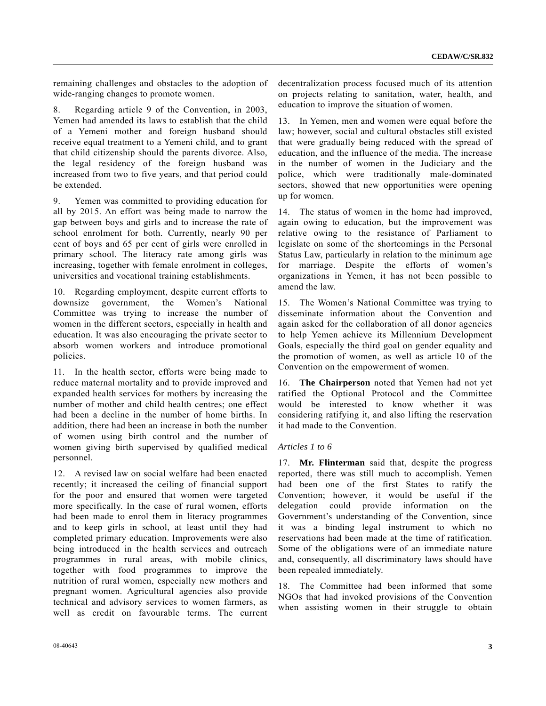remaining challenges and obstacles to the adoption of wide-ranging changes to promote women.

8. Regarding article 9 of the Convention, in 2003, Yemen had amended its laws to establish that the child of a Yemeni mother and foreign husband should receive equal treatment to a Yemeni child, and to grant that child citizenship should the parents divorce. Also, the legal residency of the foreign husband was increased from two to five years, and that period could be extended.

9. Yemen was committed to providing education for all by 2015. An effort was being made to narrow the gap between boys and girls and to increase the rate of school enrolment for both. Currently, nearly 90 per cent of boys and 65 per cent of girls were enrolled in primary school. The literacy rate among girls was increasing, together with female enrolment in colleges, universities and vocational training establishments.

10. Regarding employment, despite current efforts to downsize government, the Women's National Committee was trying to increase the number of women in the different sectors, especially in health and education. It was also encouraging the private sector to absorb women workers and introduce promotional policies.

11. In the health sector, efforts were being made to reduce maternal mortality and to provide improved and expanded health services for mothers by increasing the number of mother and child health centres; one effect had been a decline in the number of home births. In addition, there had been an increase in both the number of women using birth control and the number of women giving birth supervised by qualified medical personnel.

12. A revised law on social welfare had been enacted recently; it increased the ceiling of financial support for the poor and ensured that women were targeted more specifically. In the case of rural women, efforts had been made to enrol them in literacy programmes and to keep girls in school, at least until they had completed primary education. Improvements were also being introduced in the health services and outreach programmes in rural areas, with mobile clinics, together with food programmes to improve the nutrition of rural women, especially new mothers and pregnant women. Agricultural agencies also provide technical and advisory services to women farmers, as well as credit on favourable terms. The current

decentralization process focused much of its attention on projects relating to sanitation, water, health, and education to improve the situation of women.

13. In Yemen, men and women were equal before the law; however, social and cultural obstacles still existed that were gradually being reduced with the spread of education, and the influence of the media. The increase in the number of women in the Judiciary and the police, which were traditionally male-dominated sectors, showed that new opportunities were opening up for women.

14. The status of women in the home had improved, again owing to education, but the improvement was relative owing to the resistance of Parliament to legislate on some of the shortcomings in the Personal Status Law, particularly in relation to the minimum age for marriage. Despite the efforts of women's organizations in Yemen, it has not been possible to amend the law.

15. The Women's National Committee was trying to disseminate information about the Convention and again asked for the collaboration of all donor agencies to help Yemen achieve its Millennium Development Goals, especially the third goal on gender equality and the promotion of women, as well as article 10 of the Convention on the empowerment of women.

16. **The Chairperson** noted that Yemen had not yet ratified the Optional Protocol and the Committee would be interested to know whether it was considering ratifying it, and also lifting the reservation it had made to the Convention.

#### *Articles 1 to 6*

17. **Mr. Flinterman** said that, despite the progress reported, there was still much to accomplish. Yemen had been one of the first States to ratify the Convention; however, it would be useful if the delegation could provide information on the Government's understanding of the Convention, since it was a binding legal instrument to which no reservations had been made at the time of ratification. Some of the obligations were of an immediate nature and, consequently, all discriminatory laws should have been repealed immediately.

18. The Committee had been informed that some NGOs that had invoked provisions of the Convention when assisting women in their struggle to obtain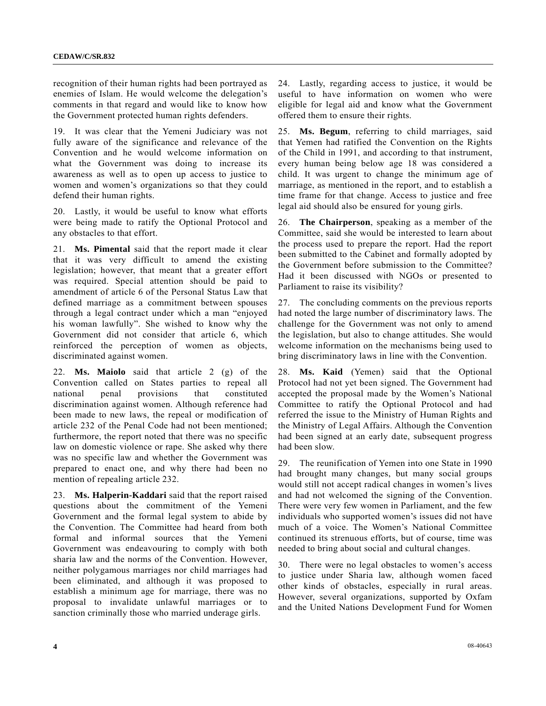recognition of their human rights had been portrayed as enemies of Islam. He would welcome the delegation's comments in that regard and would like to know how the Government protected human rights defenders.

19. It was clear that the Yemeni Judiciary was not fully aware of the significance and relevance of the Convention and he would welcome information on what the Government was doing to increase its awareness as well as to open up access to justice to women and women's organizations so that they could defend their human rights.

20. Lastly, it would be useful to know what efforts were being made to ratify the Optional Protocol and any obstacles to that effort.

21. **Ms. Pimental** said that the report made it clear that it was very difficult to amend the existing legislation; however, that meant that a greater effort was required. Special attention should be paid to amendment of article 6 of the Personal Status Law that defined marriage as a commitment between spouses through a legal contract under which a man "enjoyed his woman lawfully". She wished to know why the Government did not consider that article 6, which reinforced the perception of women as objects, discriminated against women.

22. **Ms. Maiolo** said that article 2 (g) of the Convention called on States parties to repeal all national penal provisions that constituted discrimination against women. Although reference had been made to new laws, the repeal or modification of article 232 of the Penal Code had not been mentioned; furthermore, the report noted that there was no specific law on domestic violence or rape. She asked why there was no specific law and whether the Government was prepared to enact one, and why there had been no mention of repealing article 232.

23. **Ms. Halperin-Kaddari** said that the report raised questions about the commitment of the Yemeni Government and the formal legal system to abide by the Convention. The Committee had heard from both formal and informal sources that the Yemeni Government was endeavouring to comply with both sharia law and the norms of the Convention. However, neither polygamous marriages nor child marriages had been eliminated, and although it was proposed to establish a minimum age for marriage, there was no proposal to invalidate unlawful marriages or to sanction criminally those who married underage girls.

24. Lastly, regarding access to justice, it would be useful to have information on women who were eligible for legal aid and know what the Government offered them to ensure their rights.

25. **Ms. Begum**, referring to child marriages, said that Yemen had ratified the Convention on the Rights of the Child in 1991, and according to that instrument, every human being below age 18 was considered a child. It was urgent to change the minimum age of marriage, as mentioned in the report, and to establish a time frame for that change. Access to justice and free legal aid should also be ensured for young girls.

26. **The Chairperson**, speaking as a member of the Committee, said she would be interested to learn about the process used to prepare the report. Had the report been submitted to the Cabinet and formally adopted by the Government before submission to the Committee? Had it been discussed with NGOs or presented to Parliament to raise its visibility?

27. The concluding comments on the previous reports had noted the large number of discriminatory laws. The challenge for the Government was not only to amend the legislation, but also to change attitudes. She would welcome information on the mechanisms being used to bring discriminatory laws in line with the Convention.

28. **Ms. Kaid** (Yemen) said that the Optional Protocol had not yet been signed. The Government had accepted the proposal made by the Women's National Committee to ratify the Optional Protocol and had referred the issue to the Ministry of Human Rights and the Ministry of Legal Affairs. Although the Convention had been signed at an early date, subsequent progress had been slow.

29. The reunification of Yemen into one State in 1990 had brought many changes, but many social groups would still not accept radical changes in women's lives and had not welcomed the signing of the Convention. There were very few women in Parliament, and the few individuals who supported women's issues did not have much of a voice. The Women's National Committee continued its strenuous efforts, but of course, time was needed to bring about social and cultural changes.

30. There were no legal obstacles to women's access to justice under Sharia law, although women faced other kinds of obstacles, especially in rural areas. However, several organizations, supported by Oxfam and the United Nations Development Fund for Women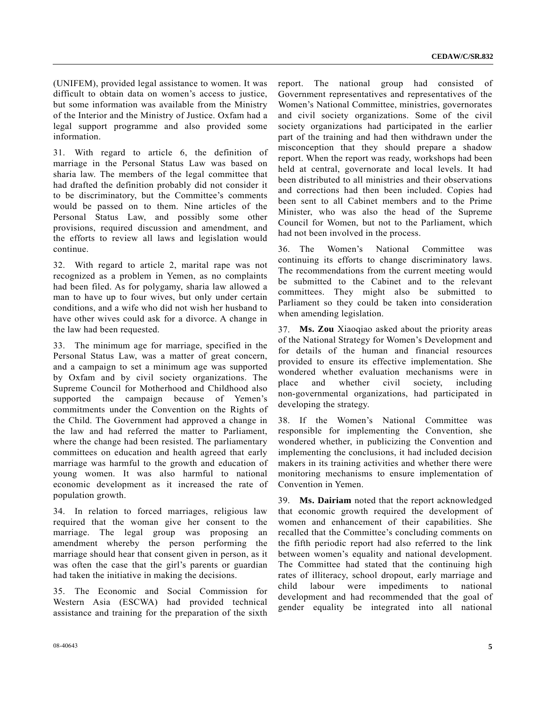(UNIFEM), provided legal assistance to women. It was difficult to obtain data on women's access to justice, but some information was available from the Ministry of the Interior and the Ministry of Justice. Oxfam had a legal support programme and also provided some information.

31. With regard to article 6, the definition of marriage in the Personal Status Law was based on sharia law. The members of the legal committee that had drafted the definition probably did not consider it to be discriminatory, but the Committee's comments would be passed on to them. Nine articles of the Personal Status Law, and possibly some other provisions, required discussion and amendment, and the efforts to review all laws and legislation would continue.

32. With regard to article 2, marital rape was not recognized as a problem in Yemen, as no complaints had been filed. As for polygamy, sharia law allowed a man to have up to four wives, but only under certain conditions, and a wife who did not wish her husband to have other wives could ask for a divorce. A change in the law had been requested.

33. The minimum age for marriage, specified in the Personal Status Law, was a matter of great concern, and a campaign to set a minimum age was supported by Oxfam and by civil society organizations. The Supreme Council for Motherhood and Childhood also supported the campaign because of Yemen's commitments under the Convention on the Rights of the Child. The Government had approved a change in the law and had referred the matter to Parliament, where the change had been resisted. The parliamentary committees on education and health agreed that early marriage was harmful to the growth and education of young women. It was also harmful to national economic development as it increased the rate of population growth.

34. In relation to forced marriages, religious law required that the woman give her consent to the marriage. The legal group was proposing an amendment whereby the person performing the marriage should hear that consent given in person, as it was often the case that the girl's parents or guardian had taken the initiative in making the decisions.

35. The Economic and Social Commission for Western Asia (ESCWA) had provided technical assistance and training for the preparation of the sixth

report. The national group had consisted of Government representatives and representatives of the Women's National Committee, ministries, governorates and civil society organizations. Some of the civil society organizations had participated in the earlier part of the training and had then withdrawn under the misconception that they should prepare a shadow report. When the report was ready, workshops had been held at central, governorate and local levels. It had been distributed to all ministries and their observations and corrections had then been included. Copies had been sent to all Cabinet members and to the Prime Minister, who was also the head of the Supreme Council for Women, but not to the Parliament, which had not been involved in the process.

36. The Women's National Committee was continuing its efforts to change discriminatory laws. The recommendations from the current meeting would be submitted to the Cabinet and to the relevant committees. They might also be submitted to Parliament so they could be taken into consideration when amending legislation.

37. **Ms. Zou** Xiaoqiao asked about the priority areas of the National Strategy for Women's Development and for details of the human and financial resources provided to ensure its effective implementation. She wondered whether evaluation mechanisms were in place and whether civil society, including non-governmental organizations, had participated in developing the strategy.

38. If the Women's National Committee was responsible for implementing the Convention, she wondered whether, in publicizing the Convention and implementing the conclusions, it had included decision makers in its training activities and whether there were monitoring mechanisms to ensure implementation of Convention in Yemen.

39. **Ms. Dairiam** noted that the report acknowledged that economic growth required the development of women and enhancement of their capabilities. She recalled that the Committee's concluding comments on the fifth periodic report had also referred to the link between women's equality and national development. The Committee had stated that the continuing high rates of illiteracy, school dropout, early marriage and child labour were impediments to national development and had recommended that the goal of gender equality be integrated into all national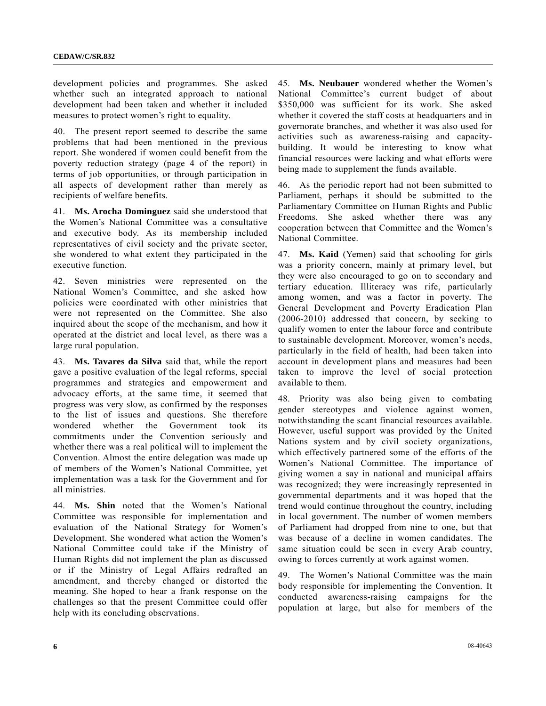development policies and programmes. She asked whether such an integrated approach to national development had been taken and whether it included measures to protect women's right to equality.

40. The present report seemed to describe the same problems that had been mentioned in the previous report. She wondered if women could benefit from the poverty reduction strategy (page 4 of the report) in terms of job opportunities, or through participation in all aspects of development rather than merely as recipients of welfare benefits.

41. **Ms. Arocha Dominguez** said she understood that the Women's National Committee was a consultative and executive body. As its membership included representatives of civil society and the private sector, she wondered to what extent they participated in the executive function.

42. Seven ministries were represented on the National Women's Committee, and she asked how policies were coordinated with other ministries that were not represented on the Committee. She also inquired about the scope of the mechanism, and how it operated at the district and local level, as there was a large rural population.

43. **Ms. Tavares da Silva** said that, while the report gave a positive evaluation of the legal reforms, special programmes and strategies and empowerment and advocacy efforts, at the same time, it seemed that progress was very slow, as confirmed by the responses to the list of issues and questions. She therefore wondered whether the Government took its commitments under the Convention seriously and whether there was a real political will to implement the Convention. Almost the entire delegation was made up of members of the Women's National Committee, yet implementation was a task for the Government and for all ministries.

44. **Ms. Shin** noted that the Women's National Committee was responsible for implementation and evaluation of the National Strategy for Women's Development. She wondered what action the Women's National Committee could take if the Ministry of Human Rights did not implement the plan as discussed or if the Ministry of Legal Affairs redrafted an amendment, and thereby changed or distorted the meaning. She hoped to hear a frank response on the challenges so that the present Committee could offer help with its concluding observations.

45. **Ms. Neubauer** wondered whether the Women's National Committee's current budget of about \$350,000 was sufficient for its work. She asked whether it covered the staff costs at headquarters and in governorate branches, and whether it was also used for activities such as awareness-raising and capacitybuilding. It would be interesting to know what financial resources were lacking and what efforts were being made to supplement the funds available.

46. As the periodic report had not been submitted to Parliament, perhaps it should be submitted to the Parliamentary Committee on Human Rights and Public Freedoms. She asked whether there was any cooperation between that Committee and the Women's National Committee.

47. **Ms. Kaid** (Yemen) said that schooling for girls was a priority concern, mainly at primary level, but they were also encouraged to go on to secondary and tertiary education. Illiteracy was rife, particularly among women, and was a factor in poverty. The General Development and Poverty Eradication Plan (2006-2010) addressed that concern, by seeking to qualify women to enter the labour force and contribute to sustainable development. Moreover, women's needs, particularly in the field of health, had been taken into account in development plans and measures had been taken to improve the level of social protection available to them.

48. Priority was also being given to combating gender stereotypes and violence against women, notwithstanding the scant financial resources available. However, useful support was provided by the United Nations system and by civil society organizations, which effectively partnered some of the efforts of the Women's National Committee. The importance of giving women a say in national and municipal affairs was recognized; they were increasingly represented in governmental departments and it was hoped that the trend would continue throughout the country, including in local government. The number of women members of Parliament had dropped from nine to one, but that was because of a decline in women candidates. The same situation could be seen in every Arab country, owing to forces currently at work against women.

49. The Women's National Committee was the main body responsible for implementing the Convention. It conducted awareness-raising campaigns for the population at large, but also for members of the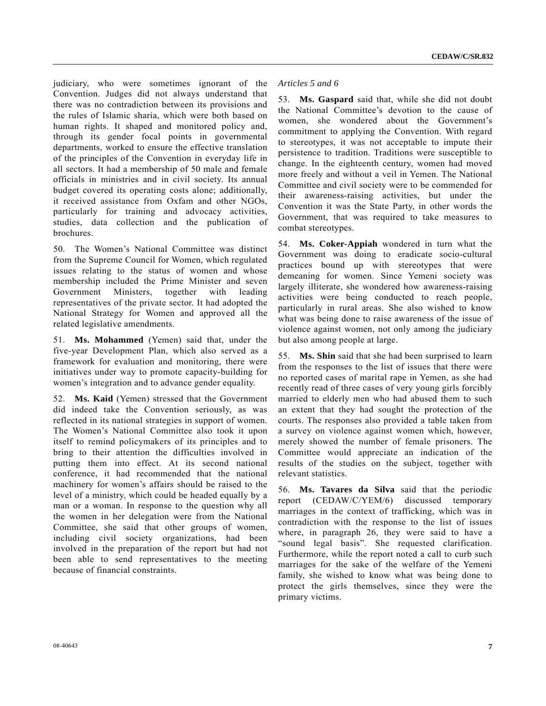judiciary, who were sometimes ignorant of the Convention. Judges did not always understand that there was no contradiction between its provisions and the rules of Islamic sharia, which were both based on human rights. It shaped and monitored policy and, through its gender focal points in governmental departments, worked to ensure the effective translation of the principles of the Convention in everyday life in all sectors. It had a membership of 50 male and female officials in ministries and in civil society. Its annual budget covered its operating costs alone; additionally, it received assistance from Oxfam and other NGOs, particularly for training and advocacy activities, studies, data collection and the publication of brochures.

50. The Women's National Committee was distinct from the Supreme Council for Women, which regulated issues relating to the status of women and whose membership included the Prime Minister and seven Government Ministers, together with leading representatives of the private sector. It had adopted the National Strategy for Women and approved all the related legislative amendments.

51. **Ms. Mohammed** (Yemen) said that, under the five-year Development Plan, which also served as a framework for evaluation and monitoring, there were initiatives under way to promote capacity-building for women's integration and to advance gender equality.

52. **Ms. Kaid** (Yemen) stressed that the Government did indeed take the Convention seriously, as was reflected in its national strategies in support of women. The Women's National Committee also took it upon itself to remind policymakers of its principles and to bring to their attention the difficulties involved in putting them into effect. At its second national conference, it had recommended that the national machinery for women's affairs should be raised to the level of a ministry, which could be headed equally by a man or a woman. In response to the question why all the women in her delegation were from the National Committee, she said that other groups of women, including civil society organizations, had been involved in the preparation of the report but had not been able to send representatives to the meeting because of financial constraints.

### *Articles 5 and 6*

53. **Ms. Gaspard** said that, while she did not doubt the National Committee's devotion to the cause of women, she wondered about the Government's commitment to applying the Convention. With regard to stereotypes, it was not acceptable to impute their persistence to tradition. Traditions were susceptible to change. In the eighteenth century, women had moved more freely and without a veil in Yemen. The National Committee and civil society were to be commended for their awareness-raising activities, but under the Convention it was the State Party, in other words the Government, that was required to take measures to combat stereotypes.

54. **Ms. Coker-Appiah** wondered in turn what the Government was doing to eradicate socio-cultural practices bound up with stereotypes that were demeaning for women. Since Yemeni society was largely illiterate, she wondered how awareness-raising activities were being conducted to reach people, particularly in rural areas. She also wished to know what was being done to raise awareness of the issue of violence against women, not only among the judiciary but also among people at large.

55. **Ms. Shin** said that she had been surprised to learn from the responses to the list of issues that there were no reported cases of marital rape in Yemen, as she had recently read of three cases of very young girls forcibly married to elderly men who had abused them to such an extent that they had sought the protection of the courts. The responses also provided a table taken from a survey on violence against women which, however, merely showed the number of female prisoners. The Committee would appreciate an indication of the results of the studies on the subject, together with relevant statistics.

56. **Ms. Tavares da Silva** said that the periodic report (CEDAW/C/YEM/6) discussed temporary marriages in the context of trafficking, which was in contradiction with the response to the list of issues where, in paragraph 26, they were said to have a "sound legal basis". She requested clarification. Furthermore, while the report noted a call to curb such marriages for the sake of the welfare of the Yemeni family, she wished to know what was being done to protect the girls themselves, since they were the primary victims.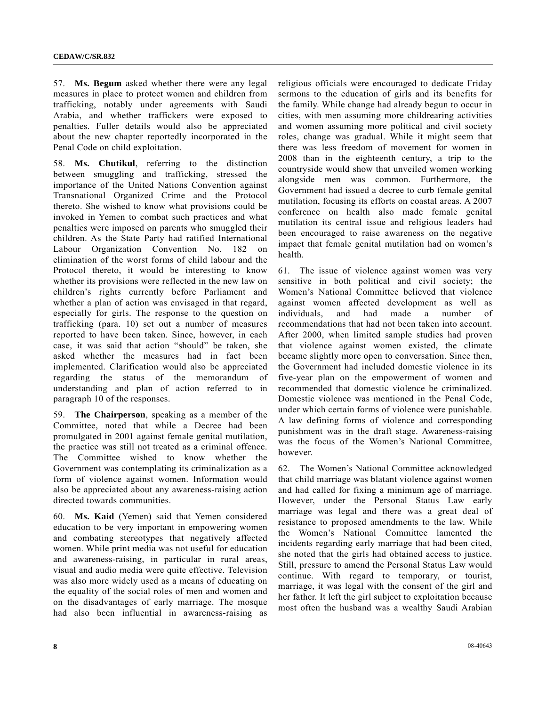57. **Ms. Begum** asked whether there were any legal measures in place to protect women and children from trafficking, notably under agreements with Saudi Arabia, and whether traffickers were exposed to penalties. Fuller details would also be appreciated about the new chapter reportedly incorporated in the Penal Code on child exploitation.

58. **Ms. Chutikul**, referring to the distinction between smuggling and trafficking, stressed the importance of the United Nations Convention against Transnational Organized Crime and the Protocol thereto. She wished to know what provisions could be invoked in Yemen to combat such practices and what penalties were imposed on parents who smuggled their children. As the State Party had ratified International Labour Organization Convention No. 182 on elimination of the worst forms of child labour and the Protocol thereto, it would be interesting to know whether its provisions were reflected in the new law on children's rights currently before Parliament and whether a plan of action was envisaged in that regard, especially for girls. The response to the question on trafficking (para. 10) set out a number of measures reported to have been taken. Since, however, in each case, it was said that action "should" be taken, she asked whether the measures had in fact been implemented. Clarification would also be appreciated regarding the status of the memorandum of understanding and plan of action referred to in paragraph 10 of the responses.

59. **The Chairperson**, speaking as a member of the Committee, noted that while a Decree had been promulgated in 2001 against female genital mutilation, the practice was still not treated as a criminal offence. The Committee wished to know whether the Government was contemplating its criminalization as a form of violence against women. Information would also be appreciated about any awareness-raising action directed towards communities.

60. **Ms. Kaid** (Yemen) said that Yemen considered education to be very important in empowering women and combating stereotypes that negatively affected women. While print media was not useful for education and awareness-raising, in particular in rural areas, visual and audio media were quite effective. Television was also more widely used as a means of educating on the equality of the social roles of men and women and on the disadvantages of early marriage. The mosque had also been influential in awareness-raising as religious officials were encouraged to dedicate Friday sermons to the education of girls and its benefits for the family. While change had already begun to occur in cities, with men assuming more childrearing activities and women assuming more political and civil society roles, change was gradual. While it might seem that there was less freedom of movement for women in 2008 than in the eighteenth century, a trip to the countryside would show that unveiled women working alongside men was common. Furthermore, the Government had issued a decree to curb female genital mutilation, focusing its efforts on coastal areas. A 2007 conference on health also made female genital mutilation its central issue and religious leaders had been encouraged to raise awareness on the negative impact that female genital mutilation had on women's health.

61. The issue of violence against women was very sensitive in both political and civil society; the Women's National Committee believed that violence against women affected development as well as individuals, and had made a number of recommendations that had not been taken into account. After 2000, when limited sample studies had proven that violence against women existed, the climate became slightly more open to conversation. Since then, the Government had included domestic violence in its five-year plan on the empowerment of women and recommended that domestic violence be criminalized. Domestic violence was mentioned in the Penal Code, under which certain forms of violence were punishable. A law defining forms of violence and corresponding punishment was in the draft stage. Awareness-raising was the focus of the Women's National Committee, however.

62. The Women's National Committee acknowledged that child marriage was blatant violence against women and had called for fixing a minimum age of marriage. However, under the Personal Status Law early marriage was legal and there was a great deal of resistance to proposed amendments to the law. While the Women's National Committee lamented the incidents regarding early marriage that had been cited, she noted that the girls had obtained access to justice. Still, pressure to amend the Personal Status Law would continue. With regard to temporary, or tourist, marriage, it was legal with the consent of the girl and her father. It left the girl subject to exploitation because most often the husband was a wealthy Saudi Arabian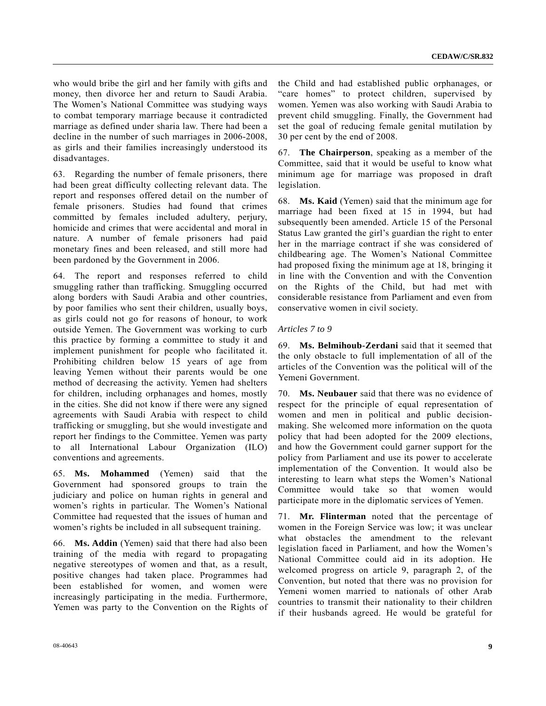who would bribe the girl and her family with gifts and money, then divorce her and return to Saudi Arabia. The Women's National Committee was studying ways to combat temporary marriage because it contradicted marriage as defined under sharia law. There had been a decline in the number of such marriages in 2006-2008, as girls and their families increasingly understood its disadvantages.

63. Regarding the number of female prisoners, there had been great difficulty collecting relevant data. The report and responses offered detail on the number of female prisoners. Studies had found that crimes committed by females included adultery, perjury, homicide and crimes that were accidental and moral in nature. A number of female prisoners had paid monetary fines and been released, and still more had been pardoned by the Government in 2006.

64. The report and responses referred to child smuggling rather than trafficking. Smuggling occurred along borders with Saudi Arabia and other countries, by poor families who sent their children, usually boys, as girls could not go for reasons of honour, to work outside Yemen. The Government was working to curb this practice by forming a committee to study it and implement punishment for people who facilitated it. Prohibiting children below 15 years of age from leaving Yemen without their parents would be one method of decreasing the activity. Yemen had shelters for children, including orphanages and homes, mostly in the cities. She did not know if there were any signed agreements with Saudi Arabia with respect to child trafficking or smuggling, but she would investigate and report her findings to the Committee. Yemen was party to all International Labour Organization (ILO) conventions and agreements.

65. **Ms. Mohammed** (Yemen) said that the Government had sponsored groups to train the judiciary and police on human rights in general and women's rights in particular. The Women's National Committee had requested that the issues of human and women's rights be included in all subsequent training.

66. **Ms. Addin** (Yemen) said that there had also been training of the media with regard to propagating negative stereotypes of women and that, as a result, positive changes had taken place. Programmes had been established for women, and women were increasingly participating in the media. Furthermore, Yemen was party to the Convention on the Rights of the Child and had established public orphanages, or "care homes" to protect children, supervised by women. Yemen was also working with Saudi Arabia to prevent child smuggling. Finally, the Government had set the goal of reducing female genital mutilation by 30 per cent by the end of 2008.

67. **The Chairperson**, speaking as a member of the Committee, said that it would be useful to know what minimum age for marriage was proposed in draft legislation.

68. **Ms. Kaid** (Yemen) said that the minimum age for marriage had been fixed at 15 in 1994, but had subsequently been amended. Article 15 of the Personal Status Law granted the girl's guardian the right to enter her in the marriage contract if she was considered of childbearing age. The Women's National Committee had proposed fixing the minimum age at 18, bringing it in line with the Convention and with the Convention on the Rights of the Child, but had met with considerable resistance from Parliament and even from conservative women in civil society.

### *Articles 7 to 9*

69. **Ms. Belmihoub-Zerdani** said that it seemed that the only obstacle to full implementation of all of the articles of the Convention was the political will of the Yemeni Government.

70. **Ms. Neubauer** said that there was no evidence of respect for the principle of equal representation of women and men in political and public decisionmaking. She welcomed more information on the quota policy that had been adopted for the 2009 elections, and how the Government could garner support for the policy from Parliament and use its power to accelerate implementation of the Convention. It would also be interesting to learn what steps the Women's National Committee would take so that women would participate more in the diplomatic services of Yemen.

71. **Mr. Flinterman** noted that the percentage of women in the Foreign Service was low; it was unclear what obstacles the amendment to the relevant legislation faced in Parliament, and how the Women's National Committee could aid in its adoption. He welcomed progress on article 9, paragraph 2, of the Convention, but noted that there was no provision for Yemeni women married to nationals of other Arab countries to transmit their nationality to their children if their husbands agreed. He would be grateful for